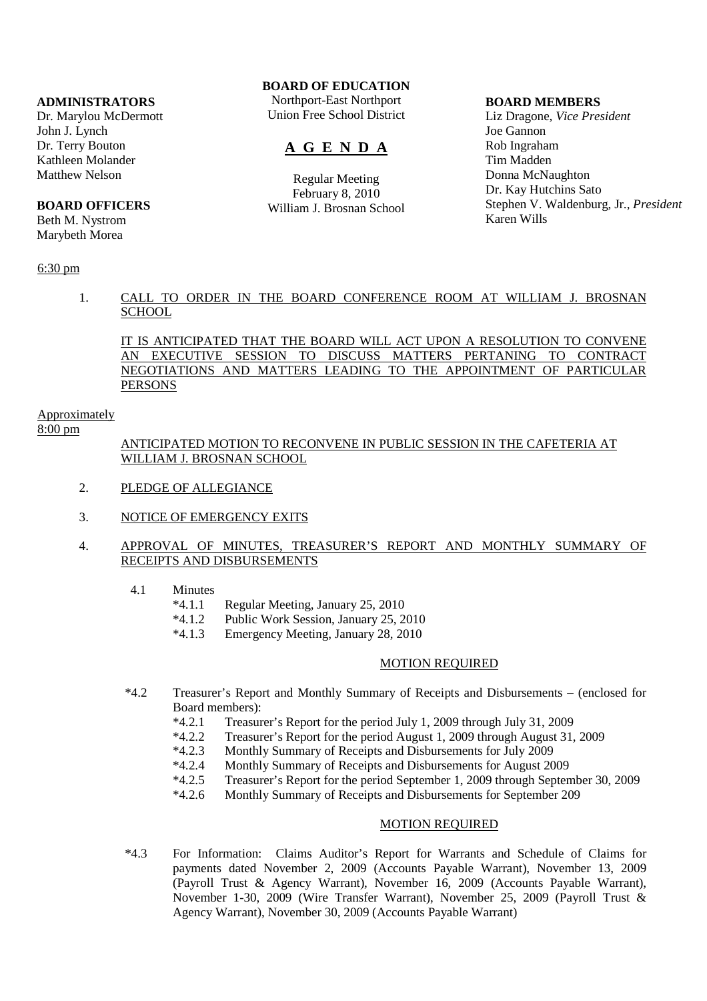## **ADMINISTRATORS**

Dr. Marylou McDermott John J. Lynch Dr. Terry Bouton Kathleen Molander Matthew Nelson

#### **BOARD OFFICERS**

Beth M. Nystrom Marybeth Morea

# **BOARD OF EDUCATION**

Northport-East Northport Union Free School District

# **A G E N D A**

Regular Meeting February 8, 2010 William J. Brosnan School

#### **BOARD MEMBERS**

Liz Dragone, *Vice President* Joe Gannon Rob Ingraham Tim Madden Donna McNaughton Dr. Kay Hutchins Sato Stephen V. Waldenburg, Jr., *President* Karen Wills

### 6:30 pm

## 1. CALL TO ORDER IN THE BOARD CONFERENCE ROOM AT WILLIAM J. BROSNAN **SCHOOL**

IT IS ANTICIPATED THAT THE BOARD WILL ACT UPON A RESOLUTION TO CONVENE AN EXECUTIVE SESSION TO DISCUSS MATTERS PERTANING TO CONTRACT NEGOTIATIONS AND MATTERS LEADING TO THE APPOINTMENT OF PARTICULAR PERSONS

#### **Approximately**

# $8:00 \text{ pm}$

## ANTICIPATED MOTION TO RECONVENE IN PUBLIC SESSION IN THE CAFETERIA AT WILLIAM J. BROSNAN SCHOOL

- 2. PLEDGE OF ALLEGIANCE
- 3. NOTICE OF EMERGENCY EXITS
- 4. APPROVAL OF MINUTES, TREASURER'S REPORT AND MONTHLY SUMMARY OF RECEIPTS AND DISBURSEMENTS
	- 4.1 Minutes<br> $*4.1.1$ 
		- \*4.1.1 Regular Meeting, January 25, 2010
			- Public Work Session, January 25, 2010
		- \*4.1.3 Emergency Meeting, January 28, 2010

#### MOTION REQUIRED

- \*4.2 Treasurer's Report and Monthly Summary of Receipts and Disbursements (enclosed for Board members):
	- \*4.2.1 Treasurer's Report for the period July 1, 2009 through July 31, 2009
	- \*4.2.2 Treasurer's Report for the period August 1, 2009 through August 31, 2009
	- \*4.2.3 Monthly Summary of Receipts and Disbursements for July 2009
	- \*4.2.4 Monthly Summary of Receipts and Disbursements for August 2009<br>\*4.2.5 Treasurer's Report for the period September 1, 2009 through Septen
	- \*4.2.5 Treasurer's Report for the period September 1, 2009 through September 30, 2009
	- \*4.2.6 Monthly Summary of Receipts and Disbursements for September 209

# MOTION REQUIRED

 \*4.3 For Information: Claims Auditor's Report for Warrants and Schedule of Claims for payments dated November 2, 2009 (Accounts Payable Warrant), November 13, 2009 (Payroll Trust & Agency Warrant), November 16, 2009 (Accounts Payable Warrant), November 1-30, 2009 (Wire Transfer Warrant), November 25, 2009 (Payroll Trust & Agency Warrant), November 30, 2009 (Accounts Payable Warrant)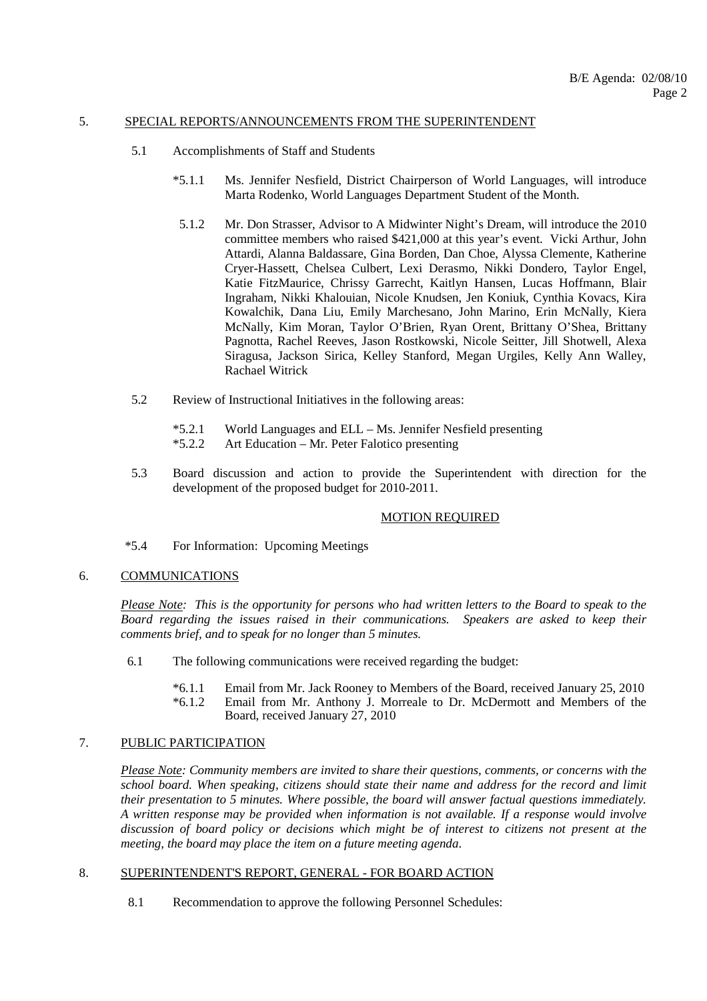### 5. SPECIAL REPORTS/ANNOUNCEMENTS FROM THE SUPERINTENDENT

- 5.1 Accomplishments of Staff and Students
	- \*5.1.1 Ms. Jennifer Nesfield, District Chairperson of World Languages, will introduce Marta Rodenko, World Languages Department Student of the Month.
	- 5.1.2 Mr. Don Strasser, Advisor to A Midwinter Night's Dream, will introduce the 2010 committee members who raised \$421,000 at this year's event. Vicki Arthur, John Attardi, Alanna Baldassare, Gina Borden, Dan Choe, Alyssa Clemente, Katherine Cryer-Hassett, Chelsea Culbert, Lexi Derasmo, Nikki Dondero, Taylor Engel, Katie FitzMaurice, Chrissy Garrecht, Kaitlyn Hansen, Lucas Hoffmann, Blair Ingraham, Nikki Khalouian, Nicole Knudsen, Jen Koniuk, Cynthia Kovacs, Kira Kowalchik, Dana Liu, Emily Marchesano, John Marino, Erin McNally, Kiera McNally, Kim Moran, Taylor O'Brien, Ryan Orent, Brittany O'Shea, Brittany Pagnotta, Rachel Reeves, Jason Rostkowski, Nicole Seitter, Jill Shotwell, Alexa Siragusa, Jackson Sirica, Kelley Stanford, Megan Urgiles, Kelly Ann Walley, Rachael Witrick
- 5.2 Review of Instructional Initiatives in the following areas:
	- \*5.2.1 World Languages and ELL Ms. Jennifer Nesfield presenting
	- \*5.2.2 Art Education Mr. Peter Falotico presenting
- 5.3 Board discussion and action to provide the Superintendent with direction for the development of the proposed budget for 2010-2011.

#### MOTION REQUIRED

\*5.4 For Information: Upcoming Meetings

# 6. COMMUNICATIONS

*Please Note: This is the opportunity for persons who had written letters to the Board to speak to the Board regarding the issues raised in their communications. Speakers are asked to keep their comments brief, and to speak for no longer than 5 minutes.*

- 6.1 The following communications were received regarding the budget:
	- \*6.1.1 Email from Mr. Jack Rooney to Members of the Board, received January 25, 2010
	- Email from Mr. Anthony J. Morreale to Dr. McDermott and Members of the Board, received January 27, 2010

## 7. PUBLIC PARTICIPATION

*Please Note: Community members are invited to share their questions, comments, or concerns with the school board. When speaking, citizens should state their name and address for the record and limit their presentation to 5 minutes. Where possible, the board will answer factual questions immediately. A written response may be provided when information is not available. If a response would involve discussion of board policy or decisions which might be of interest to citizens not present at the meeting, the board may place the item on a future meeting agenda*.

# 8. SUPERINTENDENT'S REPORT, GENERAL - FOR BOARD ACTION

8.1 Recommendation to approve the following Personnel Schedules: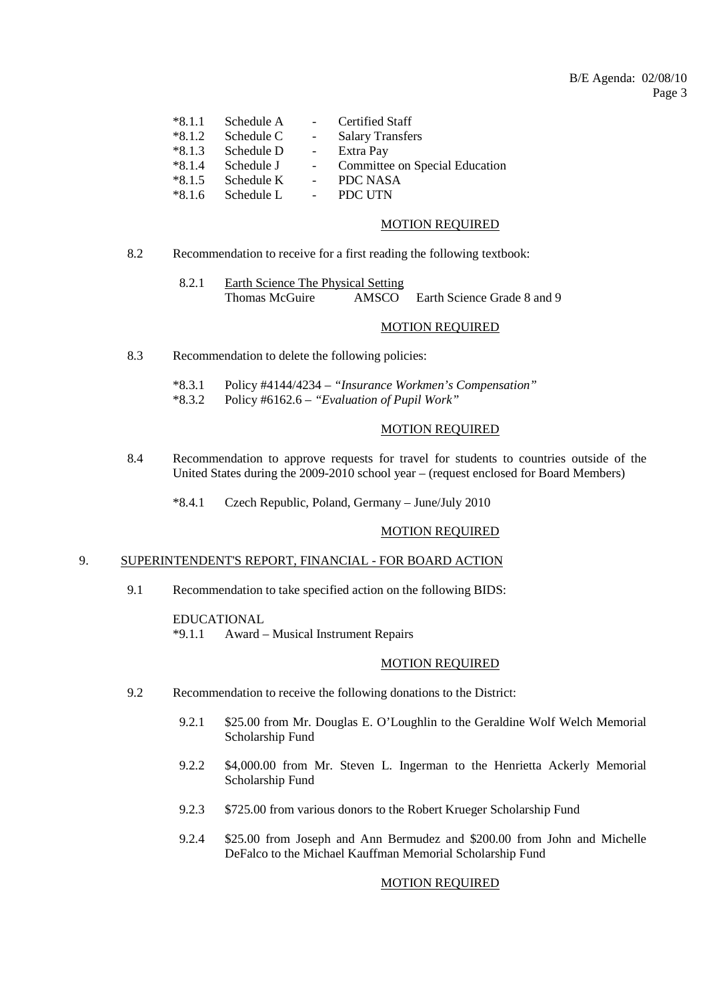| $*8.1.1$ | Schedule A | $\Delta \sim 10^{-1}$ | Certified Staff                |
|----------|------------|-----------------------|--------------------------------|
| $*8.1.2$ | Schedule C | $\sim$                | <b>Salary Transfers</b>        |
| $*8.1.3$ | Schedule D | $\sim 100$            | Extra Pay                      |
| $*8.1.4$ | Schedule J | $\sim$ $-$            | Committee on Special Education |
| $*8.1.5$ | Schedule K | $\sim 100$            | PDC NASA                       |
| $*8.1.6$ | Schedule L | $\omega_{\rm{max}}$   | PDC UTN                        |

## MOTION REQUIRED

8.2 Recommendation to receive for a first reading the following textbook:

 8.2.1 Earth Science The Physical Setting Thomas McGuire AMSCO Earth Science Grade 8 and 9

#### MOTION REQUIRED

- 8.3 Recommendation to delete the following policies:
	- \*8.3.1 Policy #4144/4234 *"Insurance Workmen's Compensation"*
	- \*8.3.2 Policy #6162.6 *"Evaluation of Pupil Work"*

## MOTION REQUIRED

- 8.4 Recommendation to approve requests for travel for students to countries outside of the United States during the 2009-2010 school year – (request enclosed for Board Members)
	- \*8.4.1 Czech Republic, Poland, Germany June/July 2010

#### MOTION REQUIRED

#### 9. SUPERINTENDENT'S REPORT, FINANCIAL - FOR BOARD ACTION

9.1 Recommendation to take specified action on the following BIDS:

#### EDUCATIONAL

\*9.1.1 Award – Musical Instrument Repairs

#### MOTION REQUIRED

- 9.2 Recommendation to receive the following donations to the District:
	- 9.2.1 \$25.00 from Mr. Douglas E. O'Loughlin to the Geraldine Wolf Welch Memorial Scholarship Fund
	- 9.2.2 \$4,000.00 from Mr. Steven L. Ingerman to the Henrietta Ackerly Memorial Scholarship Fund
	- 9.2.3 \$725.00 from various donors to the Robert Krueger Scholarship Fund
	- 9.2.4 \$25.00 from Joseph and Ann Bermudez and \$200.00 from John and Michelle DeFalco to the Michael Kauffman Memorial Scholarship Fund

## MOTION REQUIRED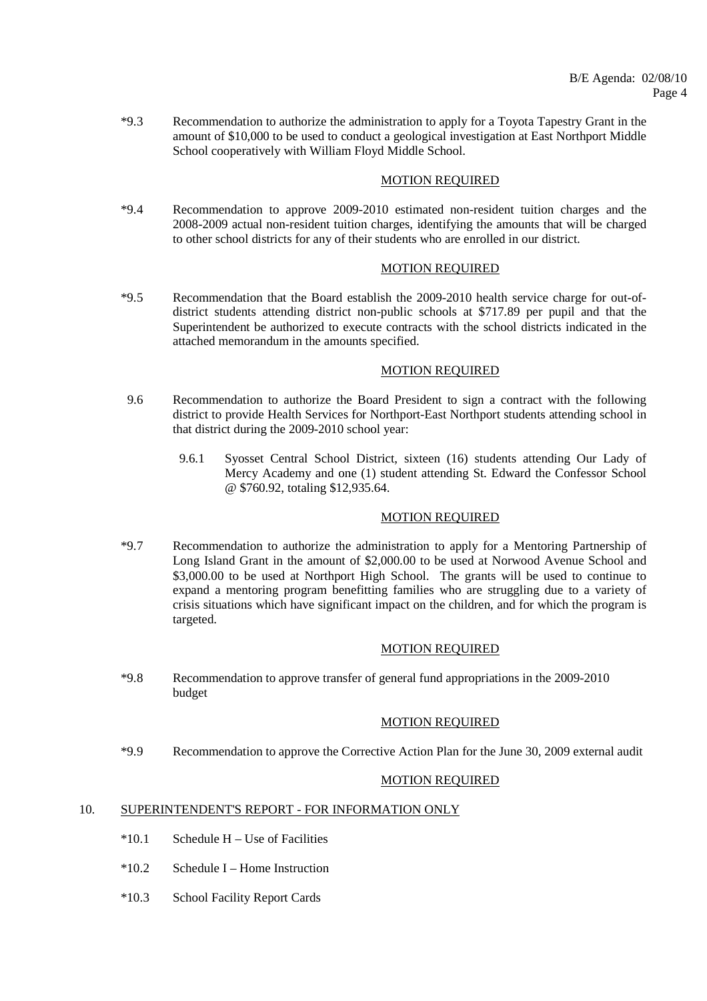\*9.3 Recommendation to authorize the administration to apply for a Toyota Tapestry Grant in the amount of \$10,000 to be used to conduct a geological investigation at East Northport Middle School cooperatively with William Floyd Middle School.

# MOTION REQUIRED

 \*9.4 Recommendation to approve 2009-2010 estimated non-resident tuition charges and the 2008-2009 actual non-resident tuition charges, identifying the amounts that will be charged to other school districts for any of their students who are enrolled in our district.

# MOTION REQUIRED

 \*9.5 Recommendation that the Board establish the 2009-2010 health service charge for out-ofdistrict students attending district non-public schools at \$717.89 per pupil and that the Superintendent be authorized to execute contracts with the school districts indicated in the attached memorandum in the amounts specified.

#### MOTION REQUIRED

- 9.6 Recommendation to authorize the Board President to sign a contract with the following district to provide Health Services for Northport-East Northport students attending school in that district during the 2009-2010 school year:
	- 9.6.1 Syosset Central School District, sixteen (16) students attending Our Lady of Mercy Academy and one (1) student attending St. Edward the Confessor School @ \$760.92, totaling \$12,935.64.

#### MOTION REQUIRED

 \*9.7 Recommendation to authorize the administration to apply for a Mentoring Partnership of Long Island Grant in the amount of \$2,000.00 to be used at Norwood Avenue School and \$3,000.00 to be used at Northport High School. The grants will be used to continue to expand a mentoring program benefitting families who are struggling due to a variety of crisis situations which have significant impact on the children, and for which the program is targeted.

#### MOTION REQUIRED

 \*9.8 Recommendation to approve transfer of general fund appropriations in the 2009-2010 budget

## MOTION REQUIRED

\*9.9 Recommendation to approve the Corrective Action Plan for the June 30, 2009 external audit

#### MOTION REQUIRED

## 10. SUPERINTENDENT'S REPORT - FOR INFORMATION ONLY

- $*10.1$  Schedule H Use of Facilities
- $*10.2$  Schedule I Home Instruction
- \*10.3 School Facility Report Cards